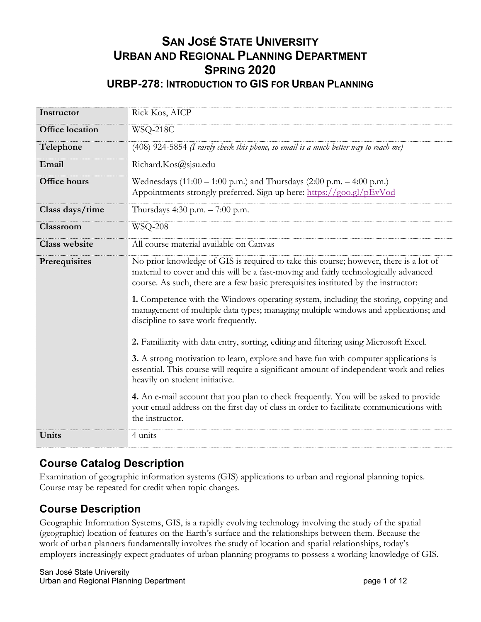### **SAN JOSÉ STATE UNIVERSITY URBAN AND REGIONAL PLANNING DEPARTMENT SPRING 2020 URBP-278: INTRODUCTION TO GIS FOR URBAN PLANNING**

| Instructor             | Rick Kos, AICP                                                                                                                                                                                                                                                      |  |
|------------------------|---------------------------------------------------------------------------------------------------------------------------------------------------------------------------------------------------------------------------------------------------------------------|--|
| <b>Office location</b> | WSQ-218C                                                                                                                                                                                                                                                            |  |
| Telephone              | $(408)$ 924-5854 (I rarely check this phone, so email is a much better way to reach me)                                                                                                                                                                             |  |
| Email                  | Richard.Kos@sjsu.edu                                                                                                                                                                                                                                                |  |
| Office hours           | Wednesdays (11:00 - 1:00 p.m.) and Thursdays (2:00 p.m. - 4:00 p.m.)<br>Appointments strongly preferred. Sign up here: https://goo.gl/pEvVod                                                                                                                        |  |
| Class days/time        | Thursdays 4:30 p.m. $- 7:00$ p.m.                                                                                                                                                                                                                                   |  |
| Classroom              | <b>WSQ-208</b>                                                                                                                                                                                                                                                      |  |
| <b>Class website</b>   | All course material available on Canvas                                                                                                                                                                                                                             |  |
| Prerequisites          | No prior knowledge of GIS is required to take this course; however, there is a lot of<br>material to cover and this will be a fast-moving and fairly technologically advanced<br>course. As such, there are a few basic prerequisites instituted by the instructor: |  |
|                        | 1. Competence with the Windows operating system, including the storing, copying and<br>management of multiple data types; managing multiple windows and applications; and<br>discipline to save work frequently.                                                    |  |
|                        | 2. Familiarity with data entry, sorting, editing and filtering using Microsoft Excel.                                                                                                                                                                               |  |
|                        | 3. A strong motivation to learn, explore and have fun with computer applications is<br>essential. This course will require a significant amount of independent work and relies<br>heavily on student initiative.                                                    |  |
|                        | 4. An e-mail account that you plan to check frequently. You will be asked to provide<br>your email address on the first day of class in order to facilitate communications with<br>the instructor.                                                                  |  |
| Units                  | 4 units                                                                                                                                                                                                                                                             |  |

## **Course Catalog Description**

Examination of geographic information systems (GIS) applications to urban and regional planning topics. Course may be repeated for credit when topic changes.

### **Course Description**

Geographic Information Systems, GIS, is a rapidly evolving technology involving the study of the spatial (geographic) location of features on the Earth's surface and the relationships between them. Because the work of urban planners fundamentally involves the study of location and spatial relationships, today's employers increasingly expect graduates of urban planning programs to possess a working knowledge of GIS.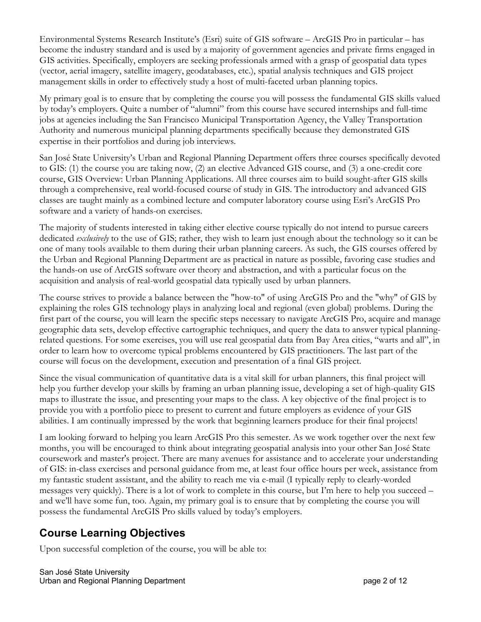Environmental Systems Research Institute's (Esri) suite of GIS software – ArcGIS Pro in particular – has become the industry standard and is used by a majority of government agencies and private firms engaged in GIS activities. Specifically, employers are seeking professionals armed with a grasp of geospatial data types (vector, aerial imagery, satellite imagery, geodatabases, etc.), spatial analysis techniques and GIS project management skills in order to effectively study a host of multi-faceted urban planning topics.

My primary goal is to ensure that by completing the course you will possess the fundamental GIS skills valued by today's employers. Quite a number of "alumni" from this course have secured internships and full-time jobs at agencies including the San Francisco Municipal Transportation Agency, the Valley Transportation Authority and numerous municipal planning departments specifically because they demonstrated GIS expertise in their portfolios and during job interviews.

San José State University's Urban and Regional Planning Department offers three courses specifically devoted to GIS: (1) the course you are taking now, (2) an elective Advanced GIS course, and (3) a one-credit core course, GIS Overview: Urban Planning Applications. All three courses aim to build sought-after GIS skills through a comprehensive, real world-focused course of study in GIS. The introductory and advanced GIS classes are taught mainly as a combined lecture and computer laboratory course using Esri's ArcGIS Pro software and a variety of hands-on exercises.

The majority of students interested in taking either elective course typically do not intend to pursue careers dedicated *exclusively* to the use of GIS; rather, they wish to learn just enough about the technology so it can be one of many tools available to them during their urban planning careers. As such, the GIS courses offered by the Urban and Regional Planning Department are as practical in nature as possible, favoring case studies and the hands-on use of ArcGIS software over theory and abstraction, and with a particular focus on the acquisition and analysis of real-world geospatial data typically used by urban planners.

The course strives to provide a balance between the "how-to" of using ArcGIS Pro and the "why" of GIS by explaining the roles GIS technology plays in analyzing local and regional (even global) problems. During the first part of the course, you will learn the specific steps necessary to navigate ArcGIS Pro, acquire and manage geographic data sets, develop effective cartographic techniques, and query the data to answer typical planningrelated questions. For some exercises, you will use real geospatial data from Bay Area cities, "warts and all", in order to learn how to overcome typical problems encountered by GIS practitioners. The last part of the course will focus on the development, execution and presentation of a final GIS project.

Since the visual communication of quantitative data is a vital skill for urban planners, this final project will help you further develop your skills by framing an urban planning issue, developing a set of high-quality GIS maps to illustrate the issue, and presenting your maps to the class. A key objective of the final project is to provide you with a portfolio piece to present to current and future employers as evidence of your GIS abilities. I am continually impressed by the work that beginning learners produce for their final projects!

I am looking forward to helping you learn ArcGIS Pro this semester. As we work together over the next few months, you will be encouraged to think about integrating geospatial analysis into your other San José State coursework and master's project. There are many avenues for assistance and to accelerate your understanding of GIS: in-class exercises and personal guidance from me, at least four office hours per week, assistance from my fantastic student assistant, and the ability to reach me via e-mail (I typically reply to clearly-worded messages very quickly). There is a lot of work to complete in this course, but I'm here to help you succeed – and we'll have some fun, too. Again, my primary goal is to ensure that by completing the course you will possess the fundamental ArcGIS Pro skills valued by today's employers.

## **Course Learning Objectives**

Upon successful completion of the course, you will be able to: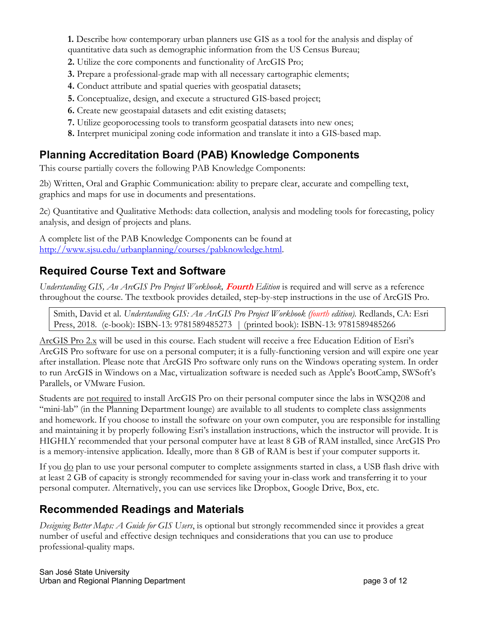**1.** Describe how contemporary urban planners use GIS as a tool for the analysis and display of quantitative data such as demographic information from the US Census Bureau;

- **2.** Utilize the core components and functionality of ArcGIS Pro;
- **3.** Prepare a professional-grade map with all necessary cartographic elements;
- **4.** Conduct attribute and spatial queries with geospatial datasets;
- **5.** Conceptualize, design, and execute a structured GIS-based project;
- **6.** Create new geostapaial datasets and edit existing datasets;
- **7.** Utilize geoporocessing tools to transform geospatial datasets into new ones;
- **8.** Interpret municipal zoning code information and translate it into a GIS-based map.

### **Planning Accreditation Board (PAB) Knowledge Components**

This course partially covers the following PAB Knowledge Components:

2b) Written, Oral and Graphic Communication: ability to prepare clear, accurate and compelling text, graphics and maps for use in documents and presentations.

2c) Quantitative and Qualitative Methods: data collection, analysis and modeling tools for forecasting, policy analysis, and design of projects and plans.

A complete list of the PAB Knowledge Components can be found at http://www.sjsu.edu/urbanplanning/courses/pabknowledge.html.

### **Required Course Text and Software**

*Understanding GIS, An ArcGIS Pro Project Workbook,* **Fourth** *Edition* is required and will serve as a reference throughout the course. The textbook provides detailed, step-by-step instructions in the use of ArcGIS Pro.

Smith, David et al. *Understanding GIS: An ArcGIS Pro Project Workbook (fourth edition).* Redlands, CA: Esri Press, 2018. (e-book): ISBN-13: 9781589485273 | (printed book): ISBN-13: 9781589485266

ArcGIS Pro 2.x will be used in this course. Each student will receive a free Education Edition of Esri's ArcGIS Pro software for use on a personal computer; it is a fully-functioning version and will expire one year after installation. Please note that ArcGIS Pro software only runs on the Windows operating system. In order to run ArcGIS in Windows on a Mac, virtualization software is needed such as Apple's BootCamp, SWSoft's Parallels, or VMware Fusion.

Students are not required to install ArcGIS Pro on their personal computer since the labs in WSQ208 and "mini-lab" (in the Planning Department lounge) are available to all students to complete class assignments and homework. If you choose to install the software on your own computer, you are responsible for installing and maintaining it by properly following Esri's installation instructions, which the instructor will provide. It is HIGHLY recommended that your personal computer have at least 8 GB of RAM installed, since ArcGIS Pro is a memory-intensive application. Ideally, more than 8 GB of RAM is best if your computer supports it.

If you <u>do</u> plan to use your personal computer to complete assignments started in class, a USB flash drive with at least 2 GB of capacity is strongly recommended for saving your in-class work and transferring it to your personal computer. Alternatively, you can use services like Dropbox, Google Drive, Box, etc.

### **Recommended Readings and Materials**

*Designing Better Maps: A Guide for GIS Users*, is optional but strongly recommended since it provides a great number of useful and effective design techniques and considerations that you can use to produce professional-quality maps.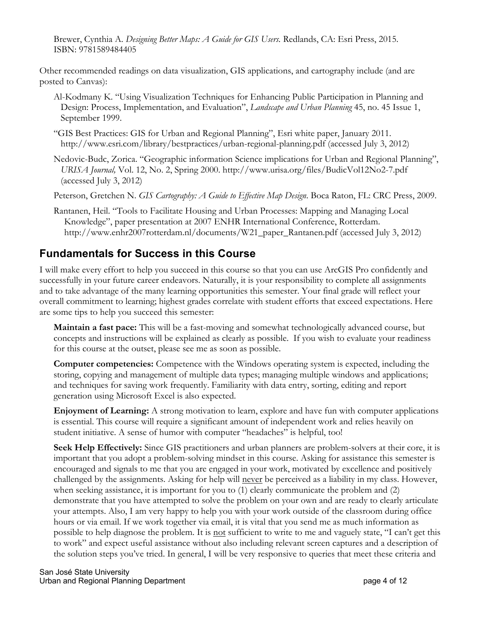Brewer, Cynthia A. *Designing Better Maps: A Guide for GIS Users.* Redlands, CA: Esri Press, 2015. ISBN: 9781589484405

Other recommended readings on data visualization, GIS applications, and cartography include (and are posted to Canvas):

- Al-Kodmany K. "Using Visualization Techniques for Enhancing Public Participation in Planning and Design: Process, Implementation, and Evaluation", *Landscape and Urban Planning* 45, no. 45 Issue 1, September 1999.
- "GIS Best Practices: GIS for Urban and Regional Planning", Esri white paper, January 2011. http://www.esri.com/library/bestpractices/urban-regional-planning.pdf (accessed July 3, 2012)
- Nedovic-Budc, Zorica. "Geographic information Science implications for Urban and Regional Planning", *URISA Journal,* Vol. 12, No. 2, Spring 2000. http://www.urisa.org/files/BudicVol12No2-7.pdf (accessed July 3, 2012)
- Peterson, Gretchen N. *GIS Cartography: A Guide to Effective Map Design*. Boca Raton, FL: CRC Press, 2009.
- Rantanen, Heil. "Tools to Facilitate Housing and Urban Processes: Mapping and Managing Local Knowledge", paper presentation at 2007 ENHR International Conference, Rotterdam. http://www.enhr2007rotterdam.nl/documents/W21\_paper\_Rantanen.pdf (accessed July 3, 2012)

### **Fundamentals for Success in this Course**

I will make every effort to help you succeed in this course so that you can use ArcGIS Pro confidently and successfully in your future career endeavors. Naturally, it is your responsibility to complete all assignments and to take advantage of the many learning opportunities this semester. Your final grade will reflect your overall commitment to learning; highest grades correlate with student efforts that exceed expectations. Here are some tips to help you succeed this semester:

**Maintain a fast pace:** This will be a fast-moving and somewhat technologically advanced course, but concepts and instructions will be explained as clearly as possible. If you wish to evaluate your readiness for this course at the outset, please see me as soon as possible.

**Computer competencies:** Competence with the Windows operating system is expected, including the storing, copying and management of multiple data types; managing multiple windows and applications; and techniques for saving work frequently. Familiarity with data entry, sorting, editing and report generation using Microsoft Excel is also expected.

**Enjoyment of Learning:** A strong motivation to learn, explore and have fun with computer applications is essential. This course will require a significant amount of independent work and relies heavily on student initiative. A sense of humor with computer "headaches" is helpful, too!

**Seek Help Effectively:** Since GIS practitioners and urban planners are problem-solvers at their core, it is important that you adopt a problem-solving mindset in this course. Asking for assistance this semester is encouraged and signals to me that you are engaged in your work, motivated by excellence and positively challenged by the assignments. Asking for help will never be perceived as a liability in my class. However, when seeking assistance, it is important for you to (1) clearly communicate the problem and (2) demonstrate that you have attempted to solve the problem on your own and are ready to clearly articulate your attempts. Also, I am very happy to help you with your work outside of the classroom during office hours or via email. If we work together via email, it is vital that you send me as much information as possible to help diagnose the problem. It is not sufficient to write to me and vaguely state, "I can't get this to work" and expect useful assistance without also including relevant screen captures and a description of the solution steps you've tried. In general, I will be very responsive to queries that meet these criteria and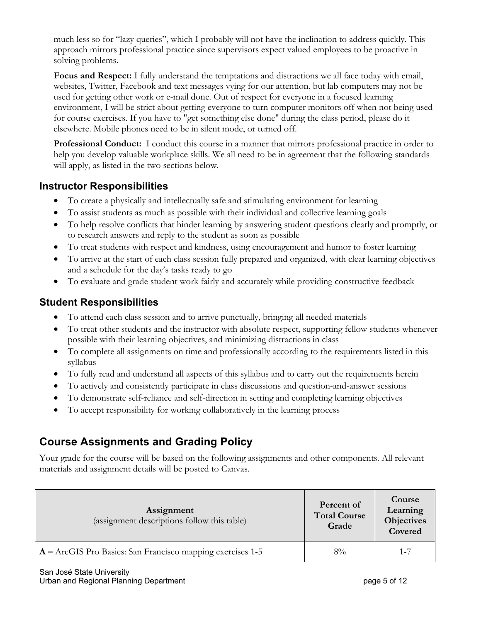much less so for "lazy queries", which I probably will not have the inclination to address quickly. This approach mirrors professional practice since supervisors expect valued employees to be proactive in solving problems.

**Focus and Respect:** I fully understand the temptations and distractions we all face today with email, websites, Twitter, Facebook and text messages vying for our attention, but lab computers may not be used for getting other work or e-mail done. Out of respect for everyone in a focused learning environment, I will be strict about getting everyone to turn computer monitors off when not being used for course exercises. If you have to "get something else done" during the class period, please do it elsewhere. Mobile phones need to be in silent mode, or turned off.

**Professional Conduct:** I conduct this course in a manner that mirrors professional practice in order to help you develop valuable workplace skills. We all need to be in agreement that the following standards will apply, as listed in the two sections below.

#### **Instructor Responsibilities**

- To create a physically and intellectually safe and stimulating environment for learning
- To assist students as much as possible with their individual and collective learning goals
- To help resolve conflicts that hinder learning by answering student questions clearly and promptly, or to research answers and reply to the student as soon as possible
- To treat students with respect and kindness, using encouragement and humor to foster learning
- To arrive at the start of each class session fully prepared and organized, with clear learning objectives and a schedule for the day's tasks ready to go
- To evaluate and grade student work fairly and accurately while providing constructive feedback

#### **Student Responsibilities**

- To attend each class session and to arrive punctually, bringing all needed materials
- To treat other students and the instructor with absolute respect, supporting fellow students whenever possible with their learning objectives, and minimizing distractions in class
- To complete all assignments on time and professionally according to the requirements listed in this syllabus
- To fully read and understand all aspects of this syllabus and to carry out the requirements herein
- To actively and consistently participate in class discussions and question-and-answer sessions
- To demonstrate self-reliance and self-direction in setting and completing learning objectives
- To accept responsibility for working collaboratively in the learning process

# **Course Assignments and Grading Policy**

Your grade for the course will be based on the following assignments and other components. All relevant materials and assignment details will be posted to Canvas.

| Assignment<br>(assignment descriptions follow this table)  | Percent of<br><b>Total Course</b><br>Grade | Course<br>Learning<br><b>Objectives</b><br>Covered |
|------------------------------------------------------------|--------------------------------------------|----------------------------------------------------|
| A - ArcGIS Pro Basics: San Francisco mapping exercises 1-5 | $8\%$                                      | $1 - 7$                                            |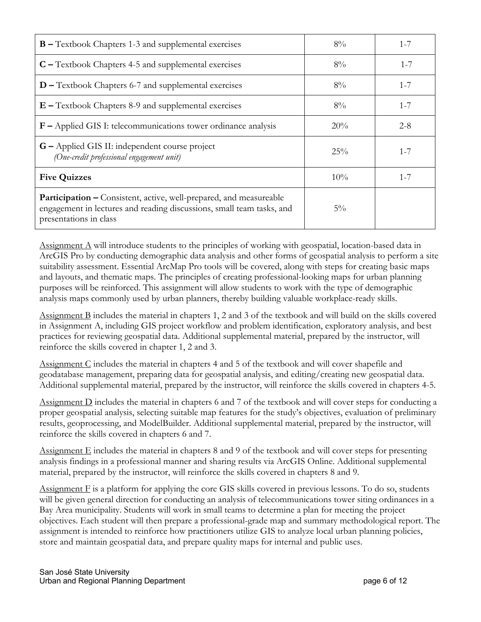| <b>B</b> – Textbook Chapters 1-3 and supplemental exercises                                                                                                                  | $8\%$  | $1 - 7$ |
|------------------------------------------------------------------------------------------------------------------------------------------------------------------------------|--------|---------|
| $C$ – Textbook Chapters 4-5 and supplemental exercises                                                                                                                       | $8\%$  | $1 - 7$ |
| $D$ – Textbook Chapters 6-7 and supplemental exercises                                                                                                                       | $8\%$  | $1 - 7$ |
| $E$ – Textbook Chapters 8-9 and supplemental exercises                                                                                                                       | $8\%$  | $1 - 7$ |
| $F$ – Applied GIS I: telecommunications tower ordinance analysis                                                                                                             | 20%    | $2 - 8$ |
| <b>G</b> – Applied GIS II: independent course project<br>(One-credit professional engagement unit)                                                                           | 25%    | $1 - 7$ |
| <b>Five Quizzes</b>                                                                                                                                                          | $10\%$ | $1 - 7$ |
| <b>Participation –</b> Consistent, active, well-prepared, and measureable<br>engagement in lectures and reading discussions, small team tasks, and<br>presentations in class | $5\%$  |         |

Assignment A will introduce students to the principles of working with geospatial, location-based data in ArcGIS Pro by conducting demographic data analysis and other forms of geospatial analysis to perform a site suitability assessment. Essential ArcMap Pro tools will be covered, along with steps for creating basic maps and layouts, and thematic maps. The principles of creating professional-looking maps for urban planning purposes will be reinforced. This assignment will allow students to work with the type of demographic analysis maps commonly used by urban planners, thereby building valuable workplace-ready skills.

Assignment B includes the material in chapters 1, 2 and 3 of the textbook and will build on the skills covered in Assignment A, including GIS project workflow and problem identification, exploratory analysis, and best practices for reviewing geospatial data. Additional supplemental material, prepared by the instructor, will reinforce the skills covered in chapter 1, 2 and 3.

Assignment C includes the material in chapters 4 and 5 of the textbook and will cover shapefile and geodatabase management, preparing data for geospatial analysis, and editing/creating new geospatial data. Additional supplemental material, prepared by the instructor, will reinforce the skills covered in chapters 4-5.

Assignment D includes the material in chapters 6 and 7 of the textbook and will cover steps for conducting a proper geospatial analysis, selecting suitable map features for the study's objectives, evaluation of preliminary results, geoprocessing, and ModelBuilder. Additional supplemental material, prepared by the instructor, will reinforce the skills covered in chapters 6 and 7.

 $\Delta$ ssignment E includes the material in chapters 8 and 9 of the textbook and will cover steps for presenting analysis findings in a professional manner and sharing results via ArcGIS Online. Additional supplemental material, prepared by the instructor, will reinforce the skills covered in chapters 8 and 9.

Assignment F is a platform for applying the core GIS skills covered in previous lessons. To do so, students will be given general direction for conducting an analysis of telecommunications tower siting ordinances in a Bay Area municipality. Students will work in small teams to determine a plan for meeting the project objectives. Each student will then prepare a professional-grade map and summary methodological report. The assignment is intended to reinforce how practitioners utilize GIS to analyze local urban planning policies, store and maintain geospatial data, and prepare quality maps for internal and public uses.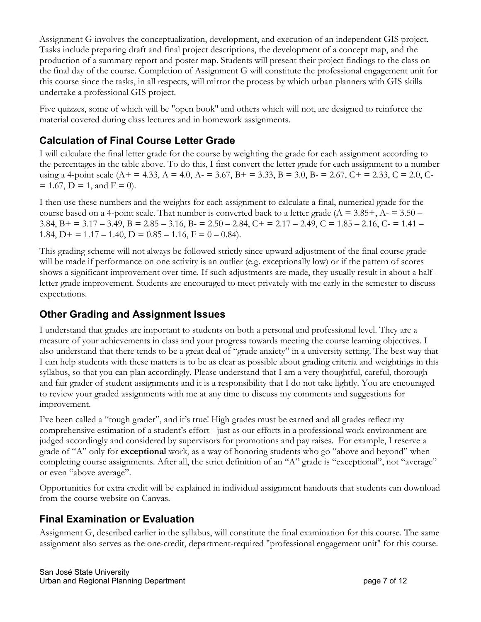Assignment G involves the conceptualization, development, and execution of an independent GIS project. Tasks include preparing draft and final project descriptions, the development of a concept map, and the production of a summary report and poster map. Students will present their project findings to the class on the final day of the course. Completion of Assignment G will constitute the professional engagement unit for this course since the tasks, in all respects, will mirror the process by which urban planners with GIS skills undertake a professional GIS project.

Five quizzes, some of which will be "open book" and others which will not, are designed to reinforce the material covered during class lectures and in homework assignments.

#### **Calculation of Final Course Letter Grade**

I will calculate the final letter grade for the course by weighting the grade for each assignment according to the percentages in the table above. To do this, I first convert the letter grade for each assignment to a number using a 4-point scale (A + = 4.33, A = 4.0, A - = 3.67, B + = 3.33, B = 3.0, B - = 2.67, C + = 2.33, C = 2.0, C- $= 1.67$ , D = 1, and F = 0).

I then use these numbers and the weights for each assignment to calculate a final, numerical grade for the course based on a 4-point scale. That number is converted back to a letter grade ( $A = 3.85 +$ ,  $A = 3.50 -$ 3.84, B + = 3.17 – 3.49, B = 2.85 – 3.16, B - = 2.50 – 2.84, C + = 2.17 – 2.49, C = 1.85 – 2.16, C - = 1.41 – 1.84,  $D+ = 1.17 - 1.40$ ,  $D = 0.85 - 1.16$ ,  $F = 0 - 0.84$ .

This grading scheme will not always be followed strictly since upward adjustment of the final course grade will be made if performance on one activity is an outlier (e.g. exceptionally low) or if the pattern of scores shows a significant improvement over time. If such adjustments are made, they usually result in about a halfletter grade improvement. Students are encouraged to meet privately with me early in the semester to discuss expectations.

#### **Other Grading and Assignment Issues**

I understand that grades are important to students on both a personal and professional level. They are a measure of your achievements in class and your progress towards meeting the course learning objectives. I also understand that there tends to be a great deal of "grade anxiety" in a university setting. The best way that I can help students with these matters is to be as clear as possible about grading criteria and weightings in this syllabus, so that you can plan accordingly. Please understand that I am a very thoughtful, careful, thorough and fair grader of student assignments and it is a responsibility that I do not take lightly. You are encouraged to review your graded assignments with me at any time to discuss my comments and suggestions for improvement.

I've been called a "tough grader", and it's true! High grades must be earned and all grades reflect my comprehensive estimation of a student's effort - just as our efforts in a professional work environment are judged accordingly and considered by supervisors for promotions and pay raises. For example, I reserve a grade of "A" only for **exceptional** work, as a way of honoring students who go "above and beyond" when completing course assignments. After all, the strict definition of an "A" grade is "exceptional", not "average" or even "above average".

Opportunities for extra credit will be explained in individual assignment handouts that students can download from the course website on Canvas.

#### **Final Examination or Evaluation**

Assignment G, described earlier in the syllabus, will constitute the final examination for this course. The same assignment also serves as the one-credit, department-required "professional engagement unit" for this course.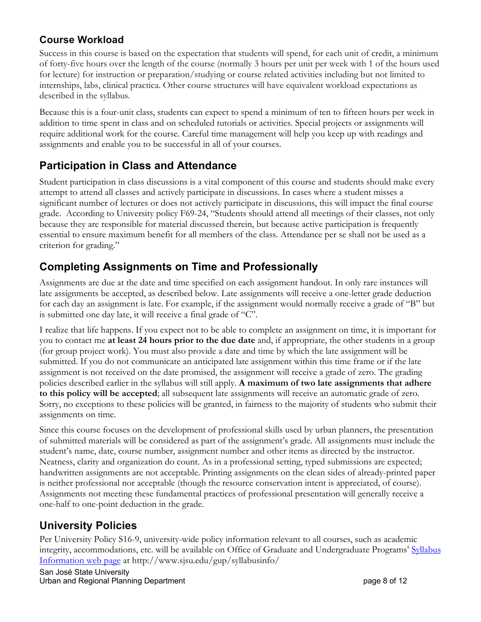### **Course Workload**

Success in this course is based on the expectation that students will spend, for each unit of credit, a minimum of forty-five hours over the length of the course (normally 3 hours per unit per week with 1 of the hours used for lecture) for instruction or preparation/studying or course related activities including but not limited to internships, labs, clinical practica. Other course structures will have equivalent workload expectations as described in the syllabus.

Because this is a four-unit class, students can expect to spend a minimum of ten to fifteen hours per week in addition to time spent in class and on scheduled tutorials or activities. Special projects or assignments will require additional work for the course. Careful time management will help you keep up with readings and assignments and enable you to be successful in all of your courses.

### **Participation in Class and Attendance**

Student participation in class discussions is a vital component of this course and students should make every attempt to attend all classes and actively participate in discussions. In cases where a student misses a significant number of lectures or does not actively participate in discussions, this will impact the final course grade. According to University policy F69-24, "Students should attend all meetings of their classes, not only because they are responsible for material discussed therein, but because active participation is frequently essential to ensure maximum benefit for all members of the class. Attendance per se shall not be used as a criterion for grading."

### **Completing Assignments on Time and Professionally**

Assignments are due at the date and time specified on each assignment handout. In only rare instances will late assignments be accepted, as described below. Late assignments will receive a one-letter grade deduction for each day an assignment is late. For example, if the assignment would normally receive a grade of "B" but is submitted one day late, it will receive a final grade of "C".

I realize that life happens. If you expect not to be able to complete an assignment on time, it is important for you to contact me **at least 24 hours prior to the due date** and, if appropriate, the other students in a group (for group project work). You must also provide a date and time by which the late assignment will be submitted. If you do not communicate an anticipated late assignment within this time frame or if the late assignment is not received on the date promised, the assignment will receive a grade of zero. The grading policies described earlier in the syllabus will still apply. **A maximum of two late assignments that adhere to this policy will be accepted**; all subsequent late assignments will receive an automatic grade of zero. Sorry, no exceptions to these policies will be granted, in fairness to the majority of students who submit their assignments on time.

Since this course focuses on the development of professional skills used by urban planners, the presentation of submitted materials will be considered as part of the assignment's grade. All assignments must include the student's name, date, course number, assignment number and other items as directed by the instructor. Neatness, clarity and organization do count. As in a professional setting, typed submissions are expected; handwritten assignments are not acceptable. Printing assignments on the clean sides of already-printed paper is neither professional nor acceptable (though the resource conservation intent is appreciated, of course). Assignments not meeting these fundamental practices of professional presentation will generally receive a one-half to one-point deduction in the grade.

### **University Policies**

Per University Policy S16-9, university-wide policy information relevant to all courses, such as academic integrity, accommodations, etc. will be available on Office of Graduate and Undergraduate Programs' Syllabus Information web page at http://www.sjsu.edu/gup/syllabusinfo/

San José State University Urban and Regional Planning Department **page 8 of 12** and page 8 of 12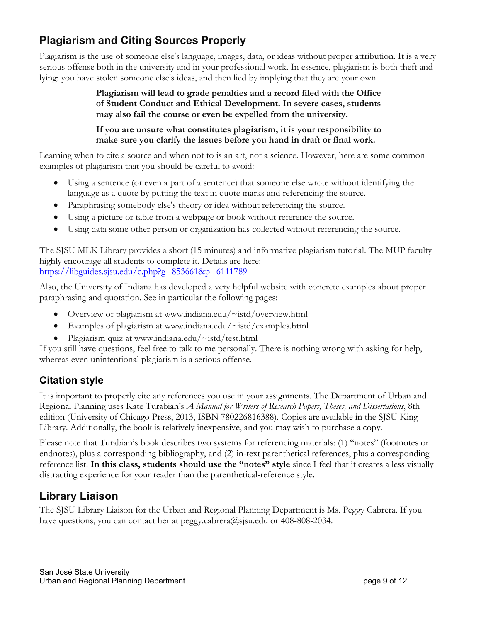# **Plagiarism and Citing Sources Properly**

Plagiarism is the use of someone else's language, images, data, or ideas without proper attribution. It is a very serious offense both in the university and in your professional work. In essence, plagiarism is both theft and lying: you have stolen someone else's ideas, and then lied by implying that they are your own.

> **Plagiarism will lead to grade penalties and a record filed with the Office of Student Conduct and Ethical Development. In severe cases, students may also fail the course or even be expelled from the university.**

> **If you are unsure what constitutes plagiarism, it is your responsibility to make sure you clarify the issues before you hand in draft or final work.**

Learning when to cite a source and when not to is an art, not a science. However, here are some common examples of plagiarism that you should be careful to avoid:

- Using a sentence (or even a part of a sentence) that someone else wrote without identifying the language as a quote by putting the text in quote marks and referencing the source.
- Paraphrasing somebody else's theory or idea without referencing the source.
- Using a picture or table from a webpage or book without reference the source.
- Using data some other person or organization has collected without referencing the source.

The SJSU MLK Library provides a short (15 minutes) and informative plagiarism tutorial. The MUP faculty highly encourage all students to complete it. Details are here: https://libguides.sjsu.edu/c.php?g=853661&p=6111789

Also, the University of Indiana has developed a very helpful website with concrete examples about proper paraphrasing and quotation. See in particular the following pages:

- Overview of plagiarism at www.indiana.edu/~istd/overview.html
- Examples of plagiarism at www.indiana.edu/~istd/examples.html
- Plagiarism quiz at www.indiana.edu/~istd/test.html

If you still have questions, feel free to talk to me personally. There is nothing wrong with asking for help, whereas even unintentional plagiarism is a serious offense.

### **Citation style**

It is important to properly cite any references you use in your assignments. The Department of Urban and Regional Planning uses Kate Turabian's *A Manual for Writers of Research Papers, Theses, and Dissertations*, 8th edition (University of Chicago Press, 2013, ISBN 780226816388). Copies are available in the SJSU King Library. Additionally, the book is relatively inexpensive, and you may wish to purchase a copy.

Please note that Turabian's book describes two systems for referencing materials: (1) "notes" (footnotes or endnotes), plus a corresponding bibliography, and (2) in-text parenthetical references, plus a corresponding reference list. **In this class, students should use the "notes" style** since I feel that it creates a less visually distracting experience for your reader than the parenthetical-reference style.

## **Library Liaison**

The SJSU Library Liaison for the Urban and Regional Planning Department is Ms. Peggy Cabrera. If you have questions, you can contact her at peggy.cabrera@sjsu.edu or 408-808-2034.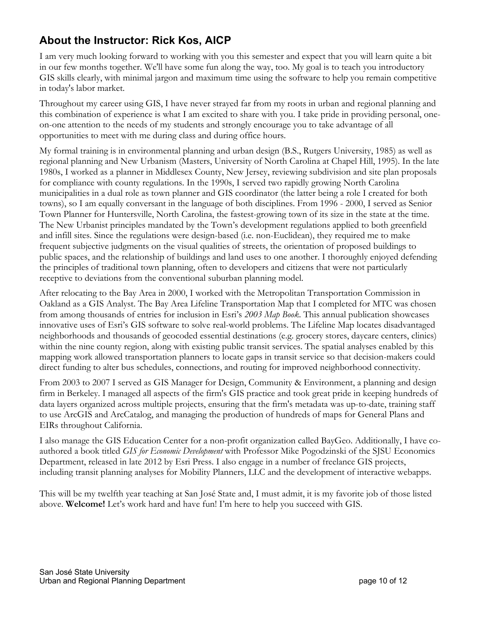## **About the Instructor: Rick Kos, AICP**

I am very much looking forward to working with you this semester and expect that you will learn quite a bit in our few months together. We'll have some fun along the way, too. My goal is to teach you introductory GIS skills clearly, with minimal jargon and maximum time using the software to help you remain competitive in today's labor market.

Throughout my career using GIS, I have never strayed far from my roots in urban and regional planning and this combination of experience is what I am excited to share with you. I take pride in providing personal, oneon-one attention to the needs of my students and strongly encourage you to take advantage of all opportunities to meet with me during class and during office hours.

My formal training is in environmental planning and urban design (B.S., Rutgers University, 1985) as well as regional planning and New Urbanism (Masters, University of North Carolina at Chapel Hill, 1995). In the late 1980s, I worked as a planner in Middlesex County, New Jersey, reviewing subdivision and site plan proposals for compliance with county regulations. In the 1990s, I served two rapidly growing North Carolina municipalities in a dual role as town planner and GIS coordinator (the latter being a role I created for both towns), so I am equally conversant in the language of both disciplines. From 1996 - 2000, I served as Senior Town Planner for Huntersville, North Carolina, the fastest-growing town of its size in the state at the time. The New Urbanist principles mandated by the Town's development regulations applied to both greenfield and infill sites. Since the regulations were design-based (i.e. non-Euclidean), they required me to make frequent subjective judgments on the visual qualities of streets, the orientation of proposed buildings to public spaces, and the relationship of buildings and land uses to one another. I thoroughly enjoyed defending the principles of traditional town planning, often to developers and citizens that were not particularly receptive to deviations from the conventional suburban planning model.

After relocating to the Bay Area in 2000, I worked with the Metropolitan Transportation Commission in Oakland as a GIS Analyst. The Bay Area Lifeline Transportation Map that I completed for MTC was chosen from among thousands of entries for inclusion in Esri's *2003 Map Book*. This annual publication showcases innovative uses of Esri's GIS software to solve real-world problems. The Lifeline Map locates disadvantaged neighborhoods and thousands of geocoded essential destinations (e.g. grocery stores, daycare centers, clinics) within the nine county region, along with existing public transit services. The spatial analyses enabled by this mapping work allowed transportation planners to locate gaps in transit service so that decision-makers could direct funding to alter bus schedules, connections, and routing for improved neighborhood connectivity.

From 2003 to 2007 I served as GIS Manager for Design, Community & Environment, a planning and design firm in Berkeley. I managed all aspects of the firm's GIS practice and took great pride in keeping hundreds of data layers organized across multiple projects, ensuring that the firm's metadata was up-to-date, training staff to use ArcGIS and ArcCatalog, and managing the production of hundreds of maps for General Plans and EIRs throughout California.

I also manage the GIS Education Center for a non-profit organization called BayGeo. Additionally, I have coauthored a book titled *GIS for Economic Development* with Professor Mike Pogodzinski of the SJSU Economics Department, released in late 2012 by Esri Press. I also engage in a number of freelance GIS projects, including transit planning analyses for Mobility Planners, LLC and the development of interactive webapps.

This will be my twelfth year teaching at San José State and, I must admit, it is my favorite job of those listed above. **Welcome!** Let's work hard and have fun! I'm here to help you succeed with GIS.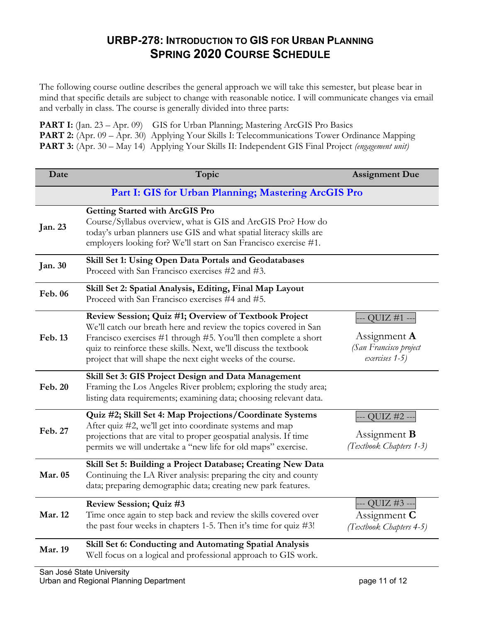### **URBP-278: INTRODUCTION TO GIS FOR URBAN PLANNING SPRING 2020 COURSE SCHEDULE**

The following course outline describes the general approach we will take this semester, but please bear in mind that specific details are subject to change with reasonable notice. I will communicate changes via email and verbally in class. The course is generally divided into three parts:

**PART I:** (Jan. 23 – Apr. 09) GIS for Urban Planning; Mastering ArcGIS Pro Basics **PART 2:** (Apr. 09 – Apr. 30) Applying Your Skills I: Telecommunications Tower Ordinance Mapping **PART 3:** (Apr. 30 – May 14) Applying Your Skills II: Independent GIS Final Project *(engagement unit)*

| Date           | Topic                                                                                                                                                                                                                                                                                                                           | <b>Assignment Due</b>                                                        |
|----------------|---------------------------------------------------------------------------------------------------------------------------------------------------------------------------------------------------------------------------------------------------------------------------------------------------------------------------------|------------------------------------------------------------------------------|
|                | Part I: GIS for Urban Planning; Mastering ArcGIS Pro                                                                                                                                                                                                                                                                            |                                                                              |
| Jan. 23        | <b>Getting Started with ArcGIS Pro</b><br>Course/Syllabus overview, what is GIS and ArcGIS Pro? How do<br>today's urban planners use GIS and what spatial literacy skills are<br>employers looking for? We'll start on San Francisco exercise #1.                                                                               |                                                                              |
| <b>Jan. 30</b> | Skill Set 1: Using Open Data Portals and Geodatabases<br>Proceed with San Francisco exercises #2 and #3.                                                                                                                                                                                                                        |                                                                              |
| Feb. 06        | Skill Set 2: Spatial Analysis, Editing, Final Map Layout<br>Proceed with San Francisco exercises #4 and #5.                                                                                                                                                                                                                     |                                                                              |
| Feb. 13        | Review Session; Quiz #1; Overview of Textbook Project<br>We'll catch our breath here and review the topics covered in San<br>Francisco exercises #1 through #5. You'll then complete a short<br>quiz to reinforce these skills. Next, we'll discuss the textbook<br>project that will shape the next eight weeks of the course. | QUIZ #1 -<br>Assignment $\bf{A}$<br>(San Francisco project<br>exercises 1-5) |
| Feb. 20        | Skill Set 3: GIS Project Design and Data Management<br>Framing the Los Angeles River problem; exploring the study area;<br>listing data requirements; examining data; choosing relevant data.                                                                                                                                   |                                                                              |
| Feb. 27        | Quiz #2; Skill Set 4: Map Projections/Coordinate Systems<br>After quiz #2, we'll get into coordinate systems and map<br>projections that are vital to proper geospatial analysis. If time<br>permits we will undertake a "new life for old maps" exercise.                                                                      | - QUIZ #2 -<br>Assignment <b>B</b><br>(Textbook Chapters 1-3)                |
| Mar. 05        | Skill Set 5: Building a Project Database; Creating New Data<br>Continuing the LA River analysis: preparing the city and county<br>data; preparing demographic data; creating new park features.                                                                                                                                 |                                                                              |
| <b>Mar. 12</b> | Review Session; Quiz #3<br>Time once again to step back and review the skills covered over<br>the past four weeks in chapters 1-5. Then it's time for quiz $\#3!$                                                                                                                                                               | -- QUIZ #3 --<br>Assignment $C$<br>(Textbook Chapters 4-5)                   |
| <b>Mar. 19</b> | Skill Set 6: Conducting and Automating Spatial Analysis<br>Well focus on a logical and professional approach to GIS work.                                                                                                                                                                                                       |                                                                              |